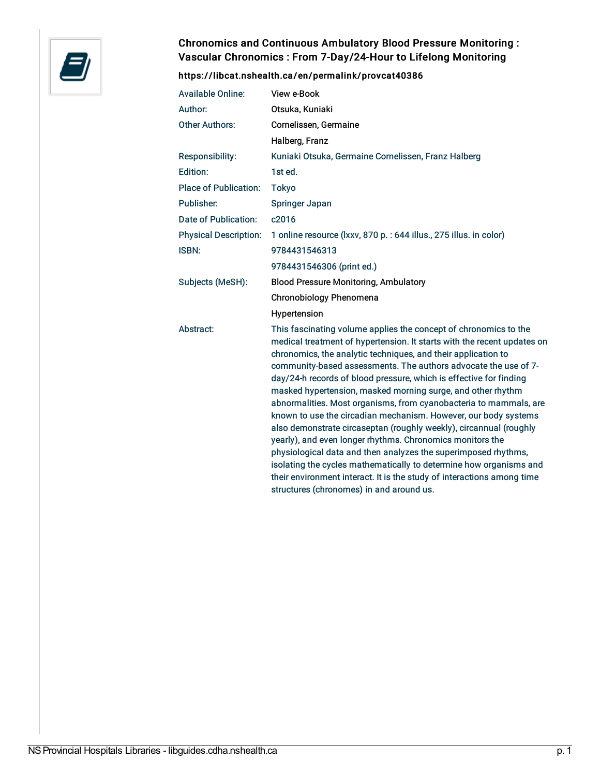

## Chronomics and Continuous Ambulatory Blood Pressure Monitoring : Vascular Chronomics : From 7-Day/24-Hour to Lifelong Monitoring

## <https://libcat.nshealth.ca/en/permalink/provcat40386>

| <b>Available Online:</b>     | View e-Book                                                                                                                                                                                                                                                                                                                                                                                                                                                                                                                                                                                                                                                                                                                                                                                                                                                                                                                                                   |
|------------------------------|---------------------------------------------------------------------------------------------------------------------------------------------------------------------------------------------------------------------------------------------------------------------------------------------------------------------------------------------------------------------------------------------------------------------------------------------------------------------------------------------------------------------------------------------------------------------------------------------------------------------------------------------------------------------------------------------------------------------------------------------------------------------------------------------------------------------------------------------------------------------------------------------------------------------------------------------------------------|
| Author:                      | Otsuka, Kuniaki                                                                                                                                                                                                                                                                                                                                                                                                                                                                                                                                                                                                                                                                                                                                                                                                                                                                                                                                               |
| <b>Other Authors:</b>        | Cornelissen, Germaine                                                                                                                                                                                                                                                                                                                                                                                                                                                                                                                                                                                                                                                                                                                                                                                                                                                                                                                                         |
|                              | Halberg, Franz                                                                                                                                                                                                                                                                                                                                                                                                                                                                                                                                                                                                                                                                                                                                                                                                                                                                                                                                                |
| Responsibility:              | Kuniaki Otsuka, Germaine Cornelissen, Franz Halberg                                                                                                                                                                                                                                                                                                                                                                                                                                                                                                                                                                                                                                                                                                                                                                                                                                                                                                           |
| Edition:                     | 1st ed.                                                                                                                                                                                                                                                                                                                                                                                                                                                                                                                                                                                                                                                                                                                                                                                                                                                                                                                                                       |
| <b>Place of Publication:</b> | Tokyo                                                                                                                                                                                                                                                                                                                                                                                                                                                                                                                                                                                                                                                                                                                                                                                                                                                                                                                                                         |
| Publisher:                   | Springer Japan                                                                                                                                                                                                                                                                                                                                                                                                                                                                                                                                                                                                                                                                                                                                                                                                                                                                                                                                                |
| Date of Publication:         | c2016                                                                                                                                                                                                                                                                                                                                                                                                                                                                                                                                                                                                                                                                                                                                                                                                                                                                                                                                                         |
| <b>Physical Description:</b> | 1 online resource (Ixxv, 870 p. : 644 illus., 275 illus. in color)                                                                                                                                                                                                                                                                                                                                                                                                                                                                                                                                                                                                                                                                                                                                                                                                                                                                                            |
| <b>ISBN:</b>                 | 9784431546313                                                                                                                                                                                                                                                                                                                                                                                                                                                                                                                                                                                                                                                                                                                                                                                                                                                                                                                                                 |
|                              | 9784431546306 (print ed.)                                                                                                                                                                                                                                                                                                                                                                                                                                                                                                                                                                                                                                                                                                                                                                                                                                                                                                                                     |
| Subjects (MeSH):             | <b>Blood Pressure Monitoring, Ambulatory</b>                                                                                                                                                                                                                                                                                                                                                                                                                                                                                                                                                                                                                                                                                                                                                                                                                                                                                                                  |
|                              | Chronobiology Phenomena                                                                                                                                                                                                                                                                                                                                                                                                                                                                                                                                                                                                                                                                                                                                                                                                                                                                                                                                       |
|                              | Hypertension                                                                                                                                                                                                                                                                                                                                                                                                                                                                                                                                                                                                                                                                                                                                                                                                                                                                                                                                                  |
| Abstract:                    | This fascinating volume applies the concept of chronomics to the<br>medical treatment of hypertension. It starts with the recent updates on<br>chronomics, the analytic techniques, and their application to<br>community-based assessments. The authors advocate the use of 7-<br>day/24-h records of blood pressure, which is effective for finding<br>masked hypertension, masked morning surge, and other rhythm<br>abnormalities. Most organisms, from cyanobacteria to mammals, are<br>known to use the circadian mechanism. However, our body systems<br>also demonstrate circaseptan (roughly weekly), circannual (roughly<br>yearly), and even longer rhythms. Chronomics monitors the<br>physiological data and then analyzes the superimposed rhythms,<br>isolating the cycles mathematically to determine how organisms and<br>their environment interact. It is the study of interactions among time<br>structures (chronomes) in and around us. |